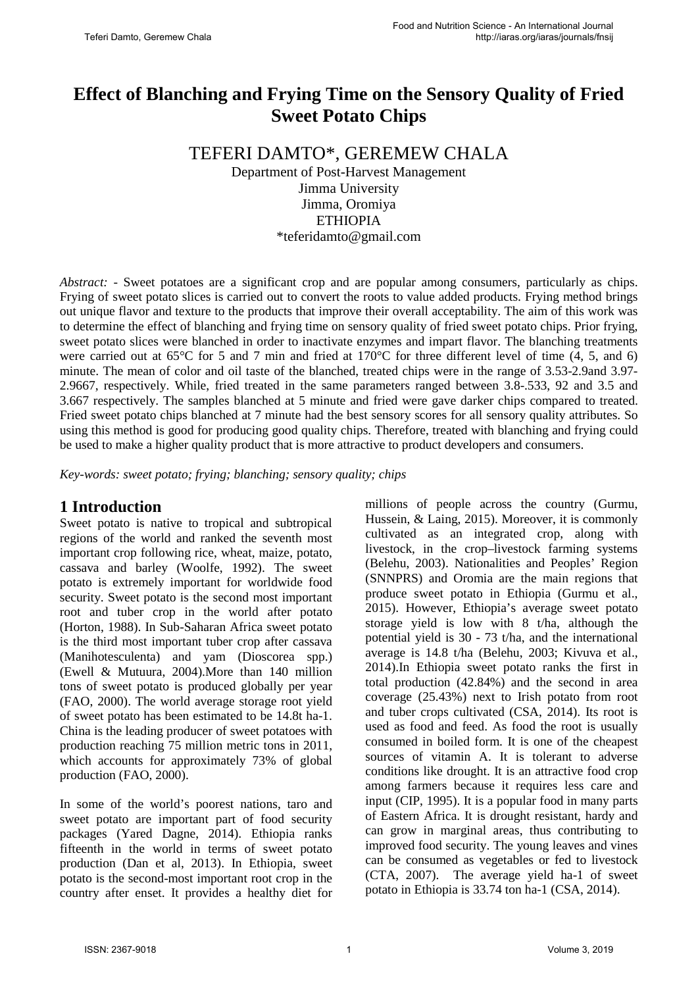# **Effect of Blanching and Frying Time on the Sensory Quality of Fried Sweet Potato Chips**

# TEFERI DAMTO\*, GEREMEW CHALA

Department of Post-Harvest Management Jimma University Jimma, Oromiya ETHIOPIA \*teferidamto@gmail.com

*Abstract: -* Sweet potatoes are a significant crop and are popular among consumers, particularly as chips. Frying of sweet potato slices is carried out to convert the roots to value added products. Frying method brings out unique flavor and texture to the products that improve their overall acceptability. The aim of this work was to determine the effect of blanching and frying time on sensory quality of fried sweet potato chips. Prior frying, sweet potato slices were blanched in order to inactivate enzymes and impart flavor. The blanching treatments were carried out at 65<sup>o</sup>C for 5 and 7 min and fried at 170<sup>o</sup>C for three different level of time (4, 5, and 6) minute. The mean of color and oil taste of the blanched, treated chips were in the range of 3.53-2.9and 3.97- 2.9667, respectively. While, fried treated in the same parameters ranged between 3.8-.533, 92 and 3.5 and 3.667 respectively. The samples blanched at 5 minute and fried were gave darker chips compared to treated. Fried sweet potato chips blanched at 7 minute had the best sensory scores for all sensory quality attributes. So using this method is good for producing good quality chips. Therefore, treated with blanching and frying could be used to make a higher quality product that is more attractive to product developers and consumers.

*Key-words: sweet potato; frying; blanching; sensory quality; chips*

## **1 Introduction**

Sweet potato is native to tropical and subtropical regions of the world and ranked the seventh most important crop following rice, wheat, maize, potato, cassava and barley (Woolfe, 1992). The sweet potato is extremely important for worldwide food security. Sweet potato is the second most important root and tuber crop in the world after potato (Horton, 1988). In Sub-Saharan Africa sweet potato is the third most important tuber crop after cassava (Manihotesculenta) and yam (Dioscorea spp.) (Ewell & Mutuura, 2004).More than 140 million tons of sweet potato is produced globally per year (FAO, 2000). The world average storage root yield of sweet potato has been estimated to be 14.8t ha-1. China is the leading producer of sweet potatoes with production reaching 75 million metric tons in 2011, which accounts for approximately 73% of global production (FAO, 2000).

In some of the world's poorest nations, taro and sweet potato are important part of food security packages (Yared Dagne, 2014). Ethiopia ranks fifteenth in the world in terms of sweet potato production (Dan et al, 2013). In Ethiopia, sweet potato is the second-most important root crop in the country after enset. It provides a healthy diet for millions of people across the country (Gurmu, Hussein, & Laing, 2015). Moreover, it is commonly cultivated as an integrated crop, along with livestock, in the crop–livestock farming systems (Belehu, 2003). Nationalities and Peoples' Region (SNNPRS) and Oromia are the main regions that produce sweet potato in Ethiopia (Gurmu et al., 2015). However, Ethiopia's average sweet potato storage yield is low with 8 t/ha, although the potential yield is 30 - 73 t/ha, and the international average is 14.8 t/ha (Belehu, 2003; Kivuva et al., 2014).In Ethiopia sweet potato ranks the first in total production (42.84%) and the second in area coverage (25.43%) next to Irish potato from root and tuber crops cultivated (CSA, 2014). Its root is used as food and feed. As food the root is usually consumed in boiled form. It is one of the cheapest sources of vitamin A. It is tolerant to adverse conditions like drought. It is an attractive food crop among farmers because it requires less care and input (CIP, 1995). It is a popular food in many parts of Eastern Africa. It is drought resistant, hardy and can grow in marginal areas, thus contributing to improved food security. The young leaves and vines can be consumed as vegetables or fed to livestock (CTA, 2007). The average yield ha-1 of sweet potato in Ethiopia is 33.74 ton ha-1 (CSA, 2014).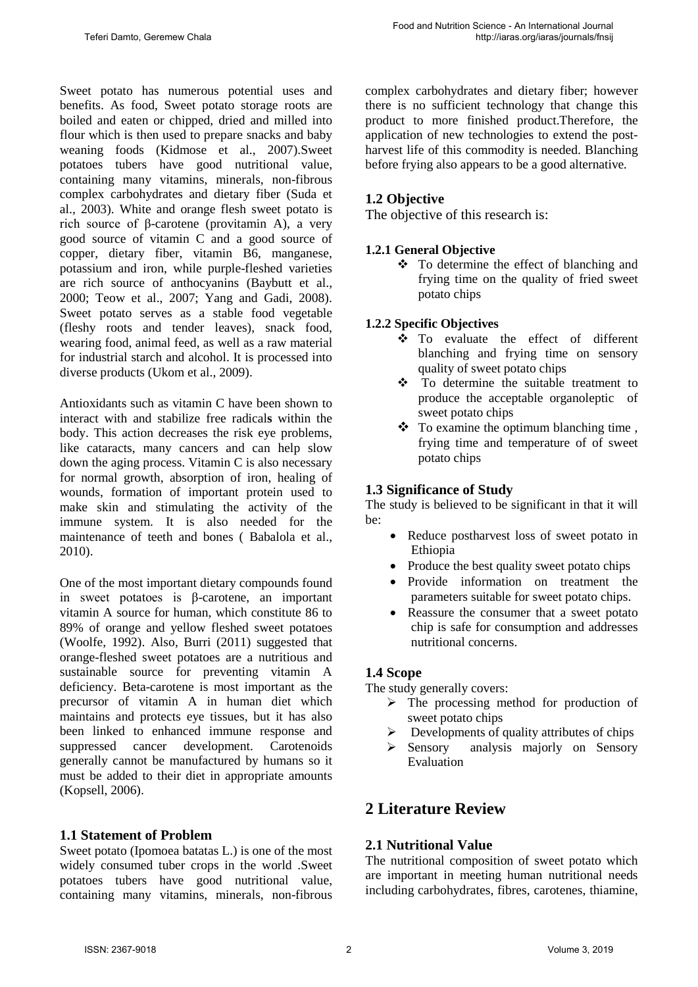Sweet potato has numerous potential uses and benefits. As food, Sweet potato storage roots are boiled and eaten or chipped, dried and milled into flour which is then used to prepare snacks and baby weaning foods (Kidmose et al., 2007).Sweet potatoes tubers have good [nutritional value,](http://www.scialert.net/asci/result.php?searchin=Keywords&cat=&ascicat=ALL&Submit=Search&keyword=nutritional+value) containing many vitamins, minerals, non-fibrous complex carbohydrates and dietary fiber (Suda et [al., 2003\)](http://scialert.net/fulltext/?doi=ajft.2014.39.48#58215_ja). White and orange flesh sweet potato is rich source of β-carotene (provitamin A), a very good source of [vitamin C](http://www.scialert.net/asci/result.php?searchin=Keywords&cat=&ascicat=ALL&Submit=Search&keyword=vitamin+C) and a good source of copper, dietary fiber, vitamin B6, manganese, potassium and iron, while purple-fleshed varieties are rich source of anthocyanins [\(Baybutt et al.,](http://scialert.net/fulltext/?doi=ajft.2014.39.48#696544_ja)  [2000;](http://scialert.net/fulltext/?doi=ajft.2014.39.48#696544_ja) [Teow et al., 2007;](http://scialert.net/fulltext/?doi=ajft.2014.39.48#58219_ja) [Yang and Gadi, 2008\)](http://scialert.net/fulltext/?doi=ajft.2014.39.48#112211_ja). Sweet potato serves as a stable food vegetable (fleshy roots and tender leaves), snack food, wearing food, animal feed, as well as a raw material for industrial starch and alcohol. It is processed into diverse products [\(Ukom et al., 2009\)](http://scialert.net/fulltext/?doi=ajft.2014.39.48#684998_ja).

Antioxidants such as [vitamin C](http://www.scialert.net/asci/result.php?searchin=Keywords&cat=&ascicat=ALL&Submit=Search&keyword=vitamin+C) have been shown to interact with and stabilize [free radical](http://www.scialert.net/asci/result.php?searchin=Keywords&cat=&ascicat=ALL&Submit=Search&keyword=free+radical)**s** within the body. This action decreases the risk eye problems, like cataracts, many cancers and can help slow down the aging process. Vitamin C is also necessary for normal growth, absorption of iron, healing of wounds, formation of important protein used to make skin and stimulating the activity of the immune system. It is also needed for the maintenance of teeth and bones ( [Babalola et al.,](http://scialert.net/fulltext/?doi=ajft.2014.39.48#1126743_ja)  [2010\)](http://scialert.net/fulltext/?doi=ajft.2014.39.48#1126743_ja).

One of the most important dietary compounds found in sweet potatoes is β-carotene, an important vitamin A source for human, which constitute 86 to 89% of orange and yellow fleshed sweet potatoes (Woolfe, 1992). Also, Burri (2011) suggested that orange-fleshed sweet potatoes are a nutritious and sustainable source for preventing vitamin A deficiency. Beta-carotene is most important as the precursor of vitamin A in human diet which maintains and protects eye tissues, but it has also been linked to enhanced immune response and suppressed cancer development. Carotenoids generally cannot be manufactured by humans so it must be added to their diet in appropriate amounts (Kopsell, 2006).

## **1.1 Statement of Problem**

Sweet potato (Ipomoea batatas L.) is one of the most widely consumed tuber crops in the world .Sweet potatoes tubers have good nutritional value, containing many vitamins, minerals, non-fibrous complex carbohydrates and dietary fiber; however there is no sufficient technology that change this product to more finished product.Therefore, the application of new technologies to extend the postharvest life of this commodity is needed. Blanching before frying also appears to be a good alternative*.*

## **1.2 Objective**

The objective of this research is:

## **1.2.1 General Objective**

 To determine the effect of blanching and frying time on the quality of fried sweet potato chips

#### **1.2.2 Specific Objectives**

- To evaluate the effect of different blanching and frying time on sensory quality of sweet potato chips
- To determine the suitable treatment to produce the acceptable organoleptic of sweet potato chips
- $\bullet$  To examine the optimum blanching time, frying time and temperature of of sweet potato chips

## **1.3 Significance of Study**

The study is believed to be significant in that it will be:

- Reduce postharvest loss of sweet potato in Ethiopia
- Produce the best quality sweet potato chips
- Provide information on treatment the parameters suitable for sweet potato chips.
- Reassure the consumer that a sweet potato chip is safe for consumption and addresses nutritional concerns.

## **1.4 Scope**

The study generally covers:

- $\triangleright$  The processing method for production of sweet potato chips
- $\triangleright$  Developments of quality attributes of chips
- $\triangleright$  Sensory analysis majorly on Sensory Evaluation

# **2 Literature Review**

## **2.1 Nutritional Value**

The nutritional composition of sweet potato which are important in meeting human nutritional needs including carbohydrates, fibres, carotenes, thiamine,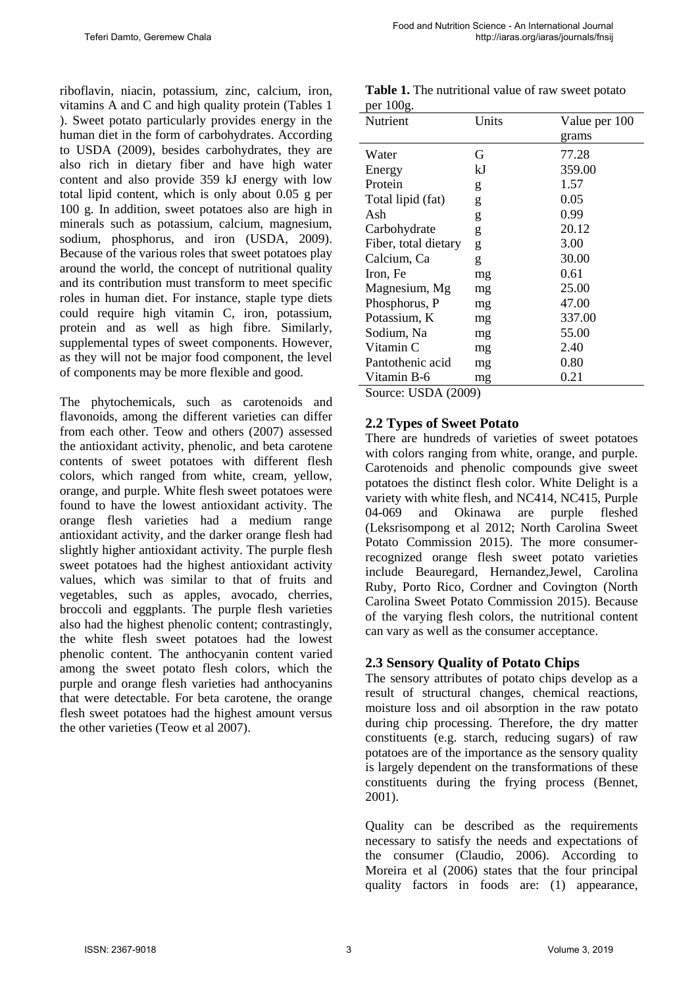**Table 1.** The nutritional value of raw sweet potato

riboflavin, niacin, potassium, zinc, calcium, iron, vitamins A and C and high quality protein (Tables 1 ). Sweet potato particularly provides energy in the human diet in the form of carbohydrates. According to USDA (2009), besides carbohydrates, they are also rich in dietary fiber and have high water content and also provide 359 kJ energy with low total lipid content, which is only about 0.05 g per 100 g. In addition, sweet potatoes also are high in minerals such as potassium, calcium, magnesium, sodium, phosphorus, and iron (USDA, 2009). Because of the various roles that sweet potatoes play around the world, the concept of nutritional quality and its contribution must transform to meet specific roles in human diet. For instance, staple type diets could require high vitamin C, iron, potassium, protein and as well as high fibre. Similarly, supplemental types of sweet components. However, as they will not be major food component, the level of components may be more flexible and good.

The phytochemicals, such as carotenoids and flavonoids, among the different varieties can differ from each other. Teow and others (2007) assessed the antioxidant activity, phenolic, and beta carotene contents of sweet potatoes with different flesh colors, which ranged from white, cream, yellow, orange, and purple. White flesh sweet potatoes were found to have the lowest antioxidant activity. The orange flesh varieties had a medium range antioxidant activity, and the darker orange flesh had slightly higher antioxidant activity. The purple flesh sweet potatoes had the highest antioxidant activity values, which was similar to that of fruits and vegetables, such as apples, avocado, cherries, broccoli and eggplants. The purple flesh varieties also had the highest phenolic content; contrastingly, the white flesh sweet potatoes had the lowest phenolic content. The anthocyanin content varied among the sweet potato flesh colors, which the purple and orange flesh varieties had anthocyanins that were detectable. For beta carotene, the orange flesh sweet potatoes had the highest amount versus the other varieties (Teow et al 2007).

| per roog.            |       |               |  |
|----------------------|-------|---------------|--|
| Nutrient             | Units | Value per 100 |  |
|                      |       | grams         |  |
| Water                | G     | 77.28         |  |
| Energy               | kJ    | 359.00        |  |
| Protein              | g     | 1.57          |  |
| Total lipid (fat)    | g     | 0.05          |  |
| Ash                  | g     | 0.99          |  |
| Carbohydrate         | g     | 20.12         |  |
| Fiber, total dietary | g     | 3.00          |  |
| Calcium, Ca          | g     | 30.00         |  |
| Iron, Fe             | mg    | 0.61          |  |
| Magnesium, Mg        | mg    | 25.00         |  |
| Phosphorus, P        | mg    | 47.00         |  |
| Potassium, K         | mg    | 337.00        |  |
| Sodium, Na           | mg    | 55.00         |  |
| Vitamin C            | mg    | 2.40          |  |
| Pantothenic acid     | mg    | 0.80          |  |
| Vitamin B-6          | mg    | 0.21          |  |
|                      |       |               |  |

Source: USDA (2009)

per  $100<sub>g</sub>$ 

#### **2.2 Types of Sweet Potato**

There are hundreds of varieties of sweet potatoes with colors ranging from white, orange, and purple. Carotenoids and phenolic compounds give sweet potatoes the distinct flesh color. White Delight is a variety with white flesh, and NC414, NC415, Purple 04-069 and Okinawa are purple fleshed (Leksrisompong et al 2012; North Carolina Sweet Potato Commission 2015). The more consumerrecognized orange flesh sweet potato varieties include Beauregard, Hernandez,Jewel, Carolina Ruby, Porto Rico, Cordner and Covington (North Carolina Sweet Potato Commission 2015). Because of the varying flesh colors, the nutritional content can vary as well as the consumer acceptance.

#### **2.3 Sensory Quality of Potato Chips**

The sensory attributes of potato chips develop as a result of structural changes, chemical reactions, moisture loss and oil absorption in the raw potato during chip processing. Therefore, the dry matter constituents (e.g. starch, reducing sugars) of raw potatoes are of the importance as the sensory quality is largely dependent on the transformations of these constituents during the frying process (Bennet, 2001).

Quality can be described as the requirements necessary to satisfy the needs and expectations of the consumer (Claudio, 2006). According to Moreira et al (2006) states that the four principal quality factors in foods are: (1) appearance,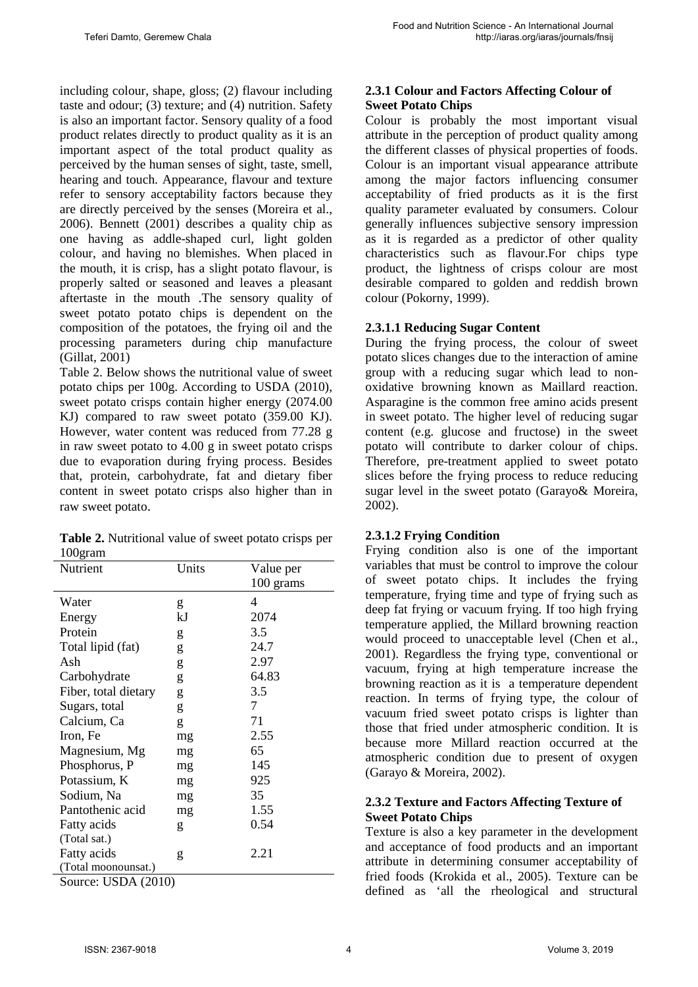including colour, shape, gloss; (2) flavour including taste and odour; (3) texture; and (4) nutrition. Safety is also an important factor. Sensory quality of a food product relates directly to product quality as it is an important aspect of the total product quality as perceived by the human senses of sight, taste, smell, hearing and touch. Appearance, flavour and texture refer to sensory acceptability factors because they are directly perceived by the senses (Moreira et al., 2006). Bennett (2001) describes a quality chip as one having as addle-shaped curl, light golden colour, and having no blemishes. When placed in the mouth, it is crisp, has a slight potato flavour, is properly salted or seasoned and leaves a pleasant aftertaste in the mouth .The sensory quality of sweet potato potato chips is dependent on the composition of the potatoes, the frying oil and the processing parameters during chip manufacture (Gillat, 2001)

Table 2. Below shows the nutritional value of sweet potato chips per 100g. According to USDA (2010), sweet potato crisps contain higher energy (2074.00 KJ) compared to raw sweet potato (359.00 KJ). However, water content was reduced from 77.28 g in raw sweet potato to 4.00 g in sweet potato crisps due to evaporation during frying process. Besides that, protein, carbohydrate, fat and dietary fiber content in sweet potato crisps also higher than in raw sweet potato.

|         | <b>Table 2.</b> Nutritional value of sweet potato crisps per |
|---------|--------------------------------------------------------------|
| 100gram |                                                              |

| Nutrient             | Units | Value per |
|----------------------|-------|-----------|
|                      |       | 100 grams |
| Water                | g     | 4         |
| Energy               | kJ    | 2074      |
| Protein              | g     | 3.5       |
| Total lipid (fat)    | g     | 24.7      |
| Ash                  | g     | 2.97      |
| Carbohydrate         | g     | 64.83     |
| Fiber, total dietary | g     | 3.5       |
| Sugars, total        | g     | 7         |
| Calcium, Ca          | g     | 71        |
| Iron, Fe             | mg    | 2.55      |
| Magnesium, Mg        | mg    | 65        |
| Phosphorus, P        | mg    | 145       |
| Potassium, K         | mg    | 925       |
| Sodium, Na           | mg    | 35        |
| Pantothenic acid     | mg    | 1.55      |
| Fatty acids          | g     | 0.54      |
| (Total sat.)         |       |           |
| Fatty acids          | g     | 2.21      |
| (Total moonounsat.)  |       |           |
| Source: USDA (2010)  |       |           |

**2.3.1 Colour and Factors Affecting Colour of Sweet Potato Chips**

Colour is probably the most important visual attribute in the perception of product quality among the different classes of physical properties of foods. Colour is an important visual appearance attribute among the major factors influencing consumer acceptability of fried products as it is the first quality parameter evaluated by consumers. Colour generally influences subjective sensory impression as it is regarded as a predictor of other quality characteristics such as flavour.For chips type product, the lightness of crisps colour are most desirable compared to golden and reddish brown colour (Pokorny, 1999).

#### **2.3.1.1 Reducing Sugar Content**

During the frying process, the colour of sweet potato slices changes due to the interaction of amine group with a reducing sugar which lead to nonoxidative browning known as Maillard reaction. Asparagine is the common free amino acids present in sweet potato. The higher level of reducing sugar content (e.g. glucose and fructose) in the sweet potato will contribute to darker colour of chips. Therefore, pre-treatment applied to sweet potato slices before the frying process to reduce reducing sugar level in the sweet potato (Garayo& Moreira, 2002).

#### **2.3.1.2 Frying Condition**

Frying condition also is one of the important variables that must be control to improve the colour of sweet potato chips. It includes the frying temperature, frying time and type of frying such as deep fat frying or vacuum frying. If too high frying temperature applied, the Millard browning reaction would proceed to unacceptable level (Chen et al., 2001). Regardless the frying type, conventional or vacuum, frying at high temperature increase the browning reaction as it is a temperature dependent reaction. In terms of frying type, the colour of vacuum fried sweet potato crisps is lighter than those that fried under atmospheric condition. It is because more Millard reaction occurred at the atmospheric condition due to present of oxygen (Garayo & Moreira, 2002).

#### **2.3.2 Texture and Factors Affecting Texture of Sweet Potato Chips**

Texture is also a key parameter in the development and acceptance of food products and an important attribute in determining consumer acceptability of fried foods (Krokida et al., 2005). Texture can be defined as 'all the rheological and structural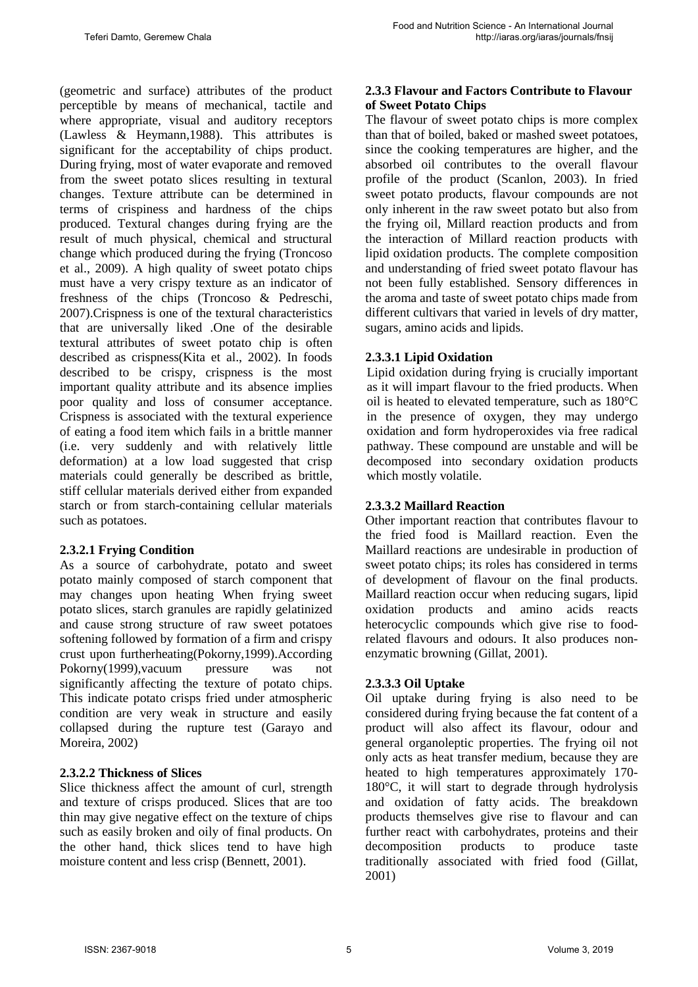(geometric and surface) attributes of the product perceptible by means of mechanical, tactile and where appropriate, visual and auditory receptors (Lawless & Heymann,1988). This attributes is significant for the acceptability of chips product. During frying, most of water evaporate and removed from the sweet potato slices resulting in textural changes. Texture attribute can be determined in terms of crispiness and hardness of the chips produced. Textural changes during frying are the result of much physical, chemical and structural change which produced during the frying (Troncoso et al., 2009). A high quality of sweet potato chips must have a very crispy texture as an indicator of freshness of the chips (Troncoso & Pedreschi, 2007).Crispness is one of the textural characteristics that are universally liked .One of the desirable textural attributes of sweet potato chip is often described as crispness(Kita et al., 2002). In foods described to be crispy, crispness is the most important quality attribute and its absence implies poor quality and loss of consumer acceptance. Crispness is associated with the textural experience of eating a food item which fails in a brittle manner (i.e. very suddenly and with relatively little deformation) at a low load suggested that crisp materials could generally be described as brittle, stiff cellular materials derived either from expanded starch or from starch-containing cellular materials such as potatoes.

#### **2.3.2.1 Frying Condition**

As a source of carbohydrate, potato and sweet potato mainly composed of starch component that may changes upon heating When frying sweet potato slices, starch granules are rapidly gelatinized and cause strong structure of raw sweet potatoes softening followed by formation of a firm and crispy crust upon furtherheating(Pokorny,1999).According Pokorny(1999),vacuum pressure was not significantly affecting the texture of potato chips. This indicate potato crisps fried under atmospheric condition are very weak in structure and easily collapsed during the rupture test (Garayo and Moreira, 2002)

#### **2.3.2.2 Thickness of Slices**

Slice thickness affect the amount of curl, strength and texture of crisps produced. Slices that are too thin may give negative effect on the texture of chips such as easily broken and oily of final products. On the other hand, thick slices tend to have high moisture content and less crisp (Bennett, 2001).

## **2.3.3 Flavour and Factors Contribute to Flavour of Sweet Potato Chips**

The flavour of sweet potato chips is more complex than that of boiled, baked or mashed sweet potatoes, since the cooking temperatures are higher, and the absorbed oil contributes to the overall flavour profile of the product (Scanlon, 2003). In fried sweet potato products, flavour compounds are not only inherent in the raw sweet potato but also from the frying oil, Millard reaction products and from the interaction of Millard reaction products with lipid oxidation products. The complete composition and understanding of fried sweet potato flavour has not been fully established. Sensory differences in the aroma and taste of sweet potato chips made from different cultivars that varied in levels of dry matter, sugars, amino acids and lipids.

#### **2.3.3.1 Lipid Oxidation**

Lipid oxidation during frying is crucially important as it will impart flavour to the fried products. When oil is heated to elevated temperature, such as 180°C in the presence of oxygen, they may undergo oxidation and form hydroperoxides via free radical pathway. These compound are unstable and will be decomposed into secondary oxidation products which mostly volatile.

#### **2.3.3.2 Maillard Reaction**

Other important reaction that contributes flavour to the fried food is Maillard reaction. Even the Maillard reactions are undesirable in production of sweet potato chips; its roles has considered in terms of development of flavour on the final products. Maillard reaction occur when reducing sugars, lipid oxidation products and amino acids reacts heterocyclic compounds which give rise to foodrelated flavours and odours. It also produces nonenzymatic browning (Gillat, 2001).

#### **2.3.3.3 Oil Uptake**

Oil uptake during frying is also need to be considered during frying because the fat content of a product will also affect its flavour, odour and general organoleptic properties. The frying oil not only acts as heat transfer medium, because they are heated to high temperatures approximately 170- 180°C, it will start to degrade through hydrolysis and oxidation of fatty acids. The breakdown products themselves give rise to flavour and can further react with carbohydrates, proteins and their decomposition products to produce taste traditionally associated with fried food (Gillat, 2001)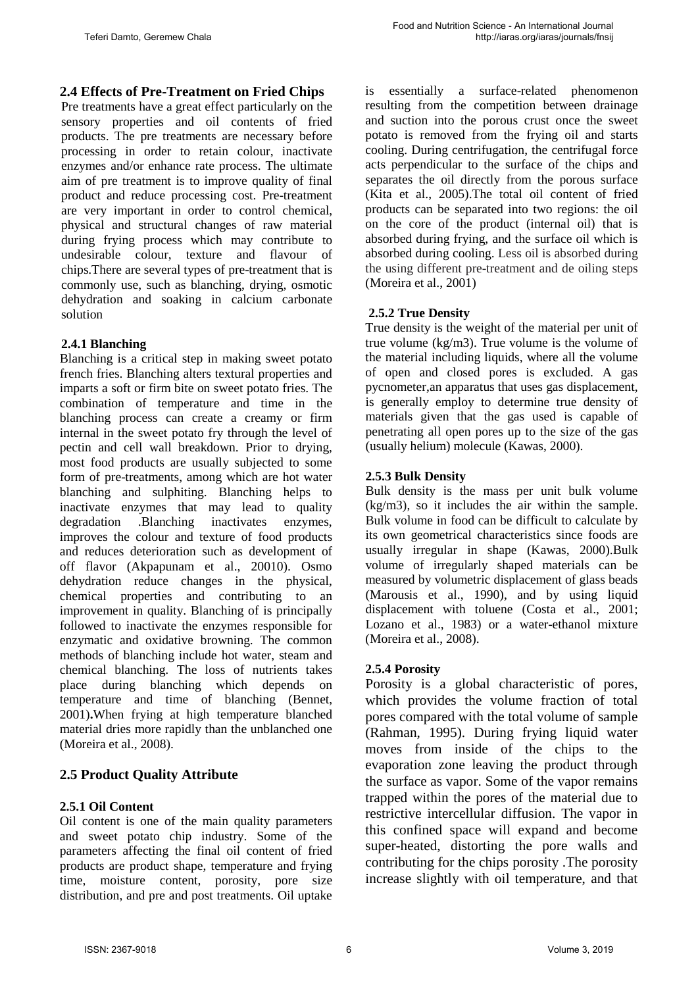## **2.4 Effects of Pre-Treatment on Fried Chips**

Pre treatments have a great effect particularly on the sensory properties and oil contents of fried products. The pre treatments are necessary before processing in order to retain colour, inactivate enzymes and/or enhance rate process. The ultimate aim of pre treatment is to improve quality of final product and reduce processing cost. Pre-treatment are very important in order to control chemical, physical and structural changes of raw material during frying process which may contribute to undesirable colour, texture and flavour of chips.There are several types of pre-treatment that is commonly use, such as blanching, drying, osmotic dehydration and soaking in calcium carbonate solution

#### **2.4.1 Blanching**

Blanching is a critical step in making sweet potato french fries. Blanching alters textural properties and imparts a soft or firm bite on sweet potato fries. The combination of temperature and time in the blanching process can create a creamy or firm internal in the sweet potato fry through the level of pectin and cell wall breakdown. Prior to drying, most food products are usually subjected to some form of pre-treatments, among which are hot water blanching and sulphiting. Blanching helps to inactivate enzymes that may lead to quality degradation .Blanching inactivates enzymes, improves the colour and texture of food products and reduces deterioration such as development of off flavor (Akpapunam et al., 20010). Osmo dehydration reduce changes in the physical, chemical properties and contributing to an improvement in quality. Blanching of is principally followed to inactivate the enzymes responsible for enzymatic and oxidative browning. The common methods of blanching include hot water, steam and chemical blanching. The loss of nutrients takes place during blanching which depends on temperature and time of blanching (Bennet, 2001)**.**When frying at high temperature blanched material dries more rapidly than the unblanched one (Moreira et al., 2008).

## **2.5 Product Quality Attribute**

#### **2.5.1 Oil Content**

Oil content is one of the main quality parameters and sweet potato chip industry. Some of the parameters affecting the final oil content of fried products are product shape, temperature and frying time, moisture content, porosity, pore size distribution, and pre and post treatments. Oil uptake is essentially a surface-related phenomenon resulting from the competition between drainage and suction into the porous crust once the sweet potato is removed from the frying oil and starts cooling. During centrifugation, the centrifugal force acts perpendicular to the surface of the chips and separates the oil directly from the porous surface (Kita et al., 2005).The total oil content of fried products can be separated into two regions: the oil on the core of the product (internal oil) that is absorbed during frying, and the surface oil which is absorbed during cooling. Less oil is absorbed during the using different pre-treatment and de oiling steps (Moreira et al., 2001)

#### **2.5.2 True Density**

True density is the weight of the material per unit of true volume (kg/m3). True volume is the volume of the material including liquids, where all the volume of open and closed pores is excluded. A gas pycnometer,an apparatus that uses gas displacement, is generally employ to determine true density of materials given that the gas used is capable of penetrating all open pores up to the size of the gas (usually helium) molecule (Kawas, 2000).

#### **2.5.3 Bulk Density**

Bulk density is the mass per unit bulk volume (kg/m3), so it includes the air within the sample. Bulk volume in food can be difficult to calculate by its own geometrical characteristics since foods are usually irregular in shape (Kawas, 2000).Bulk volume of irregularly shaped materials can be measured by volumetric displacement of glass beads (Marousis et al., 1990), and by using liquid displacement with toluene (Costa et al., 2001; Lozano et al., 1983) or a water-ethanol mixture (Moreira et al., 2008).

#### **2.5.4 Porosity**

Porosity is a global characteristic of pores, which provides the volume fraction of total pores compared with the total volume of sample (Rahman, 1995). During frying liquid water moves from inside of the chips to the evaporation zone leaving the product through the surface as vapor. Some of the vapor remains trapped within the pores of the material due to restrictive intercellular diffusion. The vapor in this confined space will expand and become super-heated, distorting the pore walls and contributing for the chips porosity .The porosity increase slightly with oil temperature, and that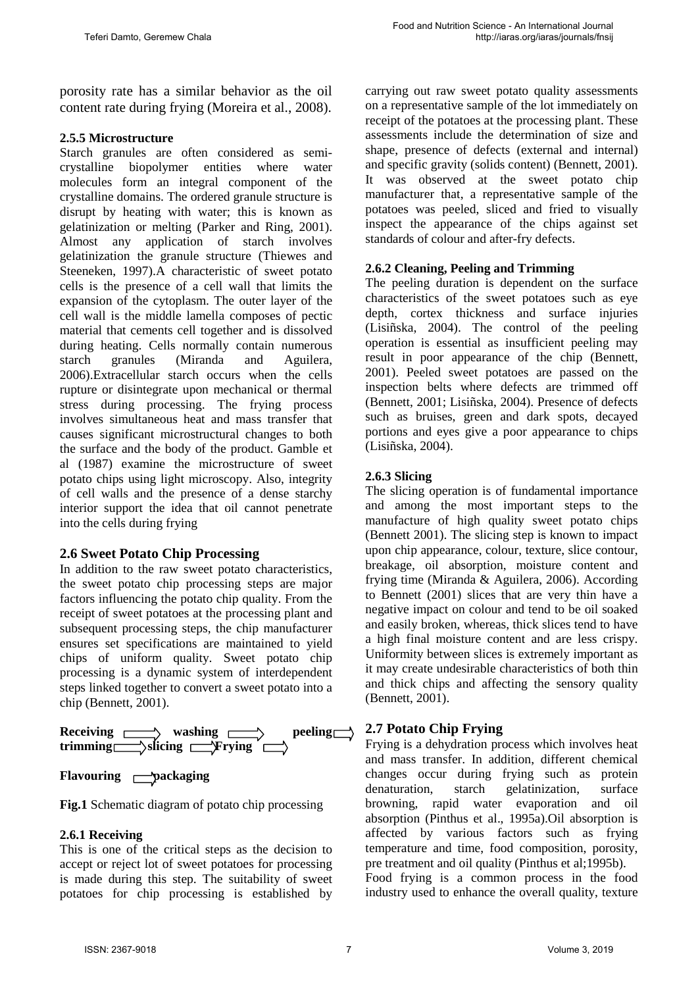porosity rate has a similar behavior as the oil content rate during frying (Moreira et al., 2008).

#### **2.5.5 Microstructure**

Starch granules are often considered as semicrystalline biopolymer entities where water molecules form an integral component of the crystalline domains. The ordered granule structure is disrupt by heating with water; this is known as gelatinization or melting (Parker and Ring, 2001). Almost any application of starch involves gelatinization the granule structure (Thiewes and Steeneken, 1997).A characteristic of sweet potato cells is the presence of a cell wall that limits the expansion of the cytoplasm. The outer layer of the cell wall is the middle lamella composes of pectic material that cements cell together and is dissolved during heating. Cells normally contain numerous starch granules (Miranda and Aguilera, 2006).Extracellular starch occurs when the cells rupture or disintegrate upon mechanical or thermal stress during processing. The frying process involves simultaneous heat and mass transfer that causes significant microstructural changes to both the surface and the body of the product. Gamble et al (1987) examine the microstructure of sweet potato chips using light microscopy. Also, integrity of cell walls and the presence of a dense starchy interior support the idea that oil cannot penetrate into the cells during frying

#### **2.6 Sweet Potato Chip Processing**

In addition to the raw sweet potato characteristics, the sweet potato chip processing steps are major factors influencing the potato chip quality. From the receipt of sweet potatoes at the processing plant and subsequent processing steps, the chip manufacturer ensures set specifications are maintained to yield chips of uniform quality. Sweet potato chip processing is a dynamic system of interdependent steps linked together to convert a sweet potato into a chip (Bennett, 2001).



#### **Flavouring Packaging**

**Fig.1** Schematic diagram of potato chip processing

#### **2.6.1 Receiving**

This is one of the critical steps as the decision to accept or reject lot of sweet potatoes for processing is made during this step. The suitability of sweet potatoes for chip processing is established by carrying out raw sweet potato quality assessments on a representative sample of the lot immediately on receipt of the potatoes at the processing plant. These assessments include the determination of size and shape, presence of defects (external and internal) and specific gravity (solids content) (Bennett, 2001). It was observed at the sweet potato chip manufacturer that, a representative sample of the potatoes was peeled, sliced and fried to visually inspect the appearance of the chips against set standards of colour and after-fry defects.

## **2.6.2 Cleaning, Peeling and Trimming**

The peeling duration is dependent on the surface characteristics of the sweet potatoes such as eye depth, cortex thickness and surface injuries (Lisiñska, 2004). The control of the peeling operation is essential as insufficient peeling may result in poor appearance of the chip (Bennett, 2001). Peeled sweet potatoes are passed on the inspection belts where defects are trimmed off (Bennett, 2001; Lisiñska, 2004). Presence of defects such as bruises, green and dark spots, decayed portions and eyes give a poor appearance to chips (Lisiñska, 2004).

## **2.6.3 Slicing**

The slicing operation is of fundamental importance and among the most important steps to the manufacture of high quality sweet potato chips (Bennett 2001). The slicing step is known to impact upon chip appearance, colour, texture, slice contour, breakage, oil absorption, moisture content and frying time (Miranda & Aguilera, 2006). According to Bennett (2001) slices that are very thin have a negative impact on colour and tend to be oil soaked and easily broken, whereas, thick slices tend to have a high final moisture content and are less crispy. Uniformity between slices is extremely important as it may create undesirable characteristics of both thin and thick chips and affecting the sensory quality (Bennett, 2001).

#### **2.7 Potato Chip Frying**

Frying is a dehydration process which involves heat and mass transfer. In addition, different chemical changes occur during frying such as protein denaturation, starch gelatinization, surface browning, rapid water evaporation and oil absorption (Pinthus et al., 1995a).Oil absorption is affected by various factors such as frying temperature and time, food composition, porosity, pre treatment and oil quality (Pinthus et al;1995b).

Food frying is a common process in the food industry used to enhance the overall quality, texture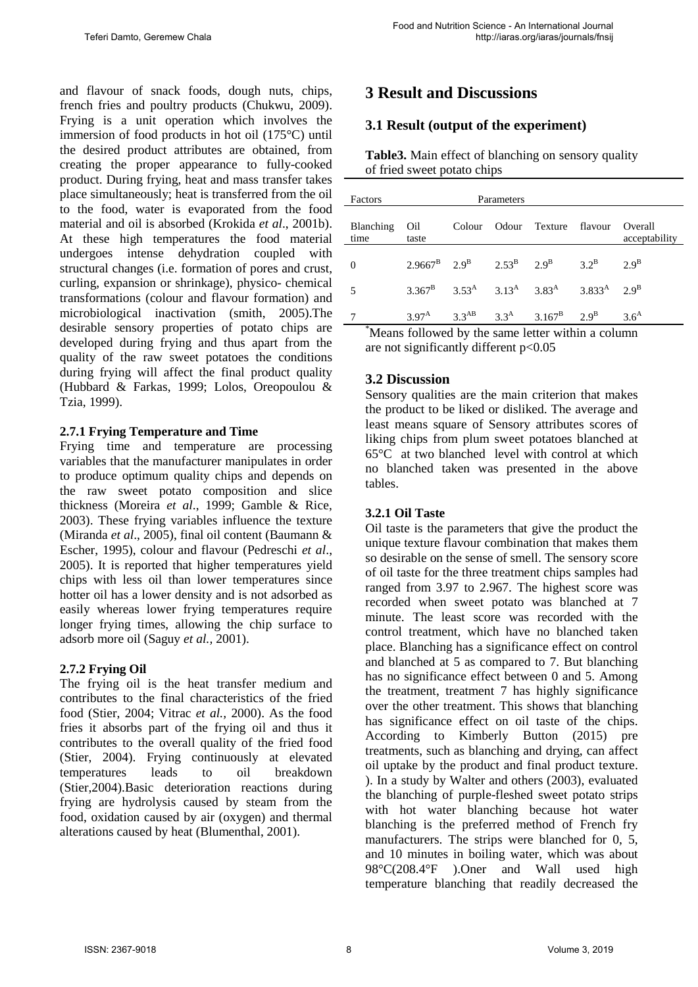and flavour of snack foods, dough nuts, chips, french fries and poultry products (Chukwu, 2009). Frying is a unit operation which involves the immersion of food products in hot oil (175°C) until the desired product attributes are obtained, from creating the proper appearance to fully-cooked product. During frying, heat and mass transfer takes place simultaneously; heat is transferred from the oil to the food, water is evaporated from the food material and oil is absorbed (Krokida *et al*., 2001b). At these high temperatures the food material undergoes intense dehydration coupled with structural changes (i.e. formation of pores and crust, curling, expansion or shrinkage), physico- chemical transformations (colour and flavour formation) and microbiological inactivation (smith, 2005).The desirable sensory properties of potato chips are developed during frying and thus apart from the quality of the raw sweet potatoes the conditions during frying will affect the final product quality (Hubbard & Farkas, 1999; Lolos, Oreopoulou & Tzia, 1999).

#### **2.7.1 Frying Temperature and Time**

Frying time and temperature are processing variables that the manufacturer manipulates in order to produce optimum quality chips and depends on the raw sweet potato composition and slice thickness (Moreira *et al*., 1999; Gamble & Rice, 2003). These frying variables influence the texture (Miranda *et al*., 2005), final oil content (Baumann & Escher, 1995), colour and flavour (Pedreschi *et al*., 2005). It is reported that higher temperatures yield chips with less oil than lower temperatures since hotter oil has a lower density and is not adsorbed as easily whereas lower frying temperatures require longer frying times, allowing the chip surface to adsorb more oil (Saguy *et al.,* 2001).

#### **2.7.2 Frying Oil**

The frying oil is the heat transfer medium and contributes to the final characteristics of the fried food (Stier, 2004; Vitrac *et al.,* 2000). As the food fries it absorbs part of the frying oil and thus it contributes to the overall quality of the fried food (Stier, 2004). Frying continuously at elevated temperatures leads to oil breakdown (Stier,2004).Basic deterioration reactions during frying are hydrolysis caused by steam from the food, oxidation caused by air (oxygen) and thermal alterations caused by heat (Blumenthal, 2001).

# **3 Result and Discussions**

# **3.1 Result (output of the experiment)**

**Table3.** Main effect of blanching on sensory quality of fried sweet potato chips

| Factors           |                | Parameters |                                                                                                |                          |
|-------------------|----------------|------------|------------------------------------------------------------------------------------------------|--------------------------|
| Blanching<br>time | Oil<br>taste   |            | Colour Odour Texture flavour                                                                   | Overall<br>acceptability |
| $\theta$          |                |            | $2.9667^{\rm B}$ $2.9^{\rm B}$ $2.53^{\rm B}$ $2.9^{\rm B}$ $3.2^{\rm B}$ $2.9^{\rm B}$        |                          |
| 5                 |                |            | $3.367^{\rm B}$ $3.53^{\rm A}$ $3.13^{\rm A}$ $3.83^{\rm A}$ $3.833^{\rm A}$ $2.9^{\rm B}$     |                          |
| $*_{\mathbf{r}}$  | $3.97^{\rm A}$ |            | 3.3 <sup>AB</sup> 3.3 <sup>A</sup> 3.167 <sup>B</sup> 2.9 <sup>B</sup><br>$0.11 - 1.1 - 1 - 1$ | 3.6 <sup>A</sup>         |

\* Means followed by the same letter within a column are not significantly different p<0.05

#### **3.2 Discussion**

Sensory qualities are the main criterion that makes the product to be liked or disliked. The average and least means square of Sensory attributes scores of liking chips from plum sweet potatoes blanched at 65°C at two blanched level with control at which no blanched taken was presented in the above tables.

#### **3.2.1 Oil Taste**

Oil taste is the parameters that give the product the unique texture flavour combination that makes them so desirable on the sense of smell. The sensory score of oil taste for the three treatment chips samples had ranged from 3.97 to 2.967. The highest score was recorded when sweet potato was blanched at 7 minute. The least score was recorded with the control treatment, which have no blanched taken place. Blanching has a significance effect on control and blanched at 5 as compared to 7. But blanching has no significance effect between 0 and 5. Among the treatment, treatment 7 has highly significance over the other treatment. This shows that blanching has significance effect on oil taste of the chips. According to Kimberly Button (2015) pre treatments, such as blanching and drying, can affect oil uptake by the product and final product texture. ). In a study by Walter and others (2003), evaluated the blanching of purple-fleshed sweet potato strips with hot water blanching because hot water blanching is the preferred method of French fry manufacturers. The strips were blanched for 0, 5, and 10 minutes in boiling water, which was about 98°C(208.4°F ).Oner and Wall used high temperature blanching that readily decreased the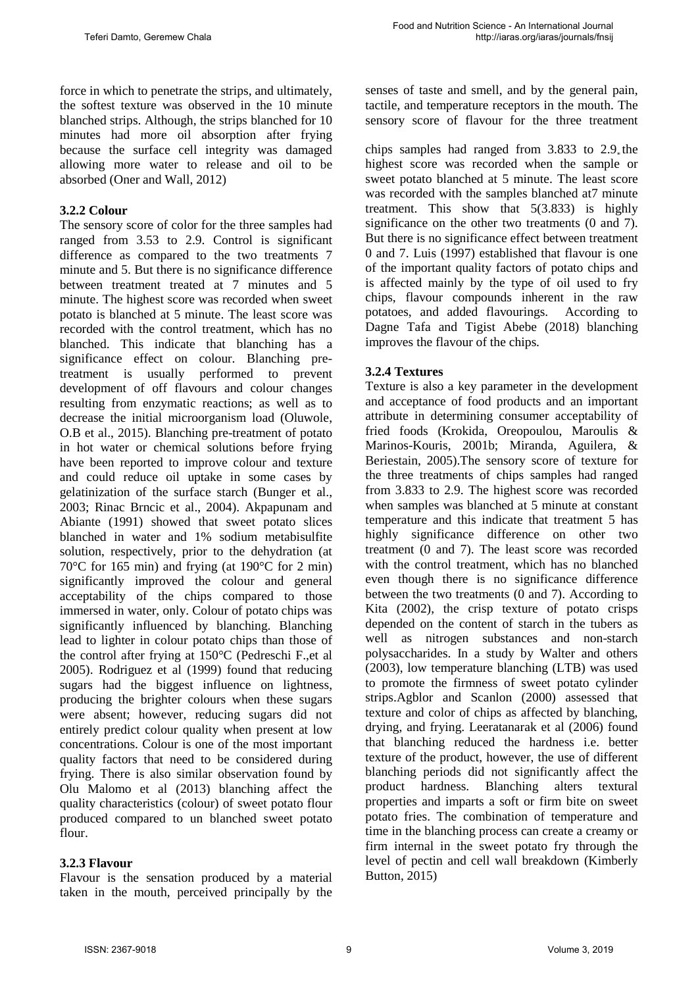force in which to penetrate the strips, and ultimately, the softest texture was observed in the 10 minute blanched strips. Although, the strips blanched for 10 minutes had more oil absorption after frying because the surface cell integrity was damaged allowing more water to release and oil to be absorbed (Oner and Wall, 2012)

#### **3.2.2 Colour**

The sensory score of color for the three samples had ranged from 3.53 to 2.9. Control is significant difference as compared to the two treatments 7 minute and 5. But there is no significance difference between treatment treated at 7 minutes and 5 minute. The highest score was recorded when sweet potato is blanched at 5 minute. The least score was recorded with the control treatment, which has no blanched. This indicate that blanching has a significance effect on colour. Blanching pretreatment is usually performed to prevent development of off flavours and colour changes resulting from enzymatic reactions; as well as to decrease the initial microorganism load (Oluwole, O.B et al., 2015). Blanching pre-treatment of potato in hot water or chemical solutions before frying have been reported to improve colour and texture and could reduce oil uptake in some cases by gelatinization of the surface starch (Bunger et al., 2003; Rinac Brncic et al., 2004). Akpapunam and Abiante (1991) showed that sweet potato slices blanched in water and 1% sodium metabisulfite solution, respectively, prior to the dehydration (at 70°C for 165 min) and frying (at 190°C for 2 min) significantly improved the colour and general acceptability of the chips compared to those immersed in water, only. Colour of potato chips was significantly influenced by blanching. Blanching lead to lighter in colour potato chips than those of the control after frying at 150°C (Pedreschi F.,et al 2005). Rodriguez et al (1999) found that reducing sugars had the biggest influence on lightness, producing the brighter colours when these sugars were absent; however, reducing sugars did not entirely predict colour quality when present at low concentrations. Colour is one of the most important quality factors that need to be considered during frying. There is also similar observation found by Olu Malomo et al (2013) blanching affect the quality characteristics (colour) of sweet potato flour produced compared to un blanched sweet potato flour.

#### **3.2.3 Flavour**

Flavour is the sensation produced by a material taken in the mouth, perceived principally by the senses of taste and smell, and by the general pain, tactile, and temperature receptors in the mouth. The sensory score of flavour for the three treatment

chips samples had ranged from 3.833 to 2.9 the highest score was recorded when the sample or sweet potato blanched at 5 minute. The least score was recorded with the samples blanched at 7 minute treatment. This show that 5(3.833) is highly significance on the other two treatments (0 and 7). But there is no significance effect between treatment 0 and 7. Luis (1997) established that flavour is one of the important quality factors of potato chips and is affected mainly by the type of oil used to fry chips, flavour compounds inherent in the raw potatoes, and added flavourings. According to Dagne Tafa and Tigist Abebe (2018) blanching improves the flavour of the chips.

#### **3.2.4 Textures**

Texture is also a key parameter in the development and acceptance of food products and an important attribute in determining consumer acceptability of fried foods (Krokida, Oreopoulou, Maroulis & Marinos-Kouris, 2001b; Miranda, Aguilera, & Beriestain, 2005).The sensory score of texture for the three treatments of chips samples had ranged from 3.833 to 2.9. The highest score was recorded when samples was blanched at 5 minute at constant temperature and this indicate that treatment 5 has highly significance difference on other two treatment (0 and 7). The least score was recorded with the control treatment, which has no blanched even though there is no significance difference between the two treatments (0 and 7). According to Kita (2002), the crisp texture of potato crisps depended on the content of starch in the tubers as well as nitrogen substances and non-starch polysaccharides. In a study by Walter and others (2003), low temperature blanching (LTB) was used to promote the firmness of sweet potato cylinder strips.Agblor and Scanlon (2000) assessed that texture and color of chips as affected by blanching, drying, and frying. Leeratanarak et al (2006) found that blanching reduced the hardness i.e. better texture of the product, however, the use of different blanching periods did not significantly affect the product hardness. Blanching alters textural properties and imparts a soft or firm bite on sweet potato fries. The combination of temperature and time in the blanching process can create a creamy or firm internal in the sweet potato fry through the level of pectin and cell wall breakdown (Kimberly Button, 2015)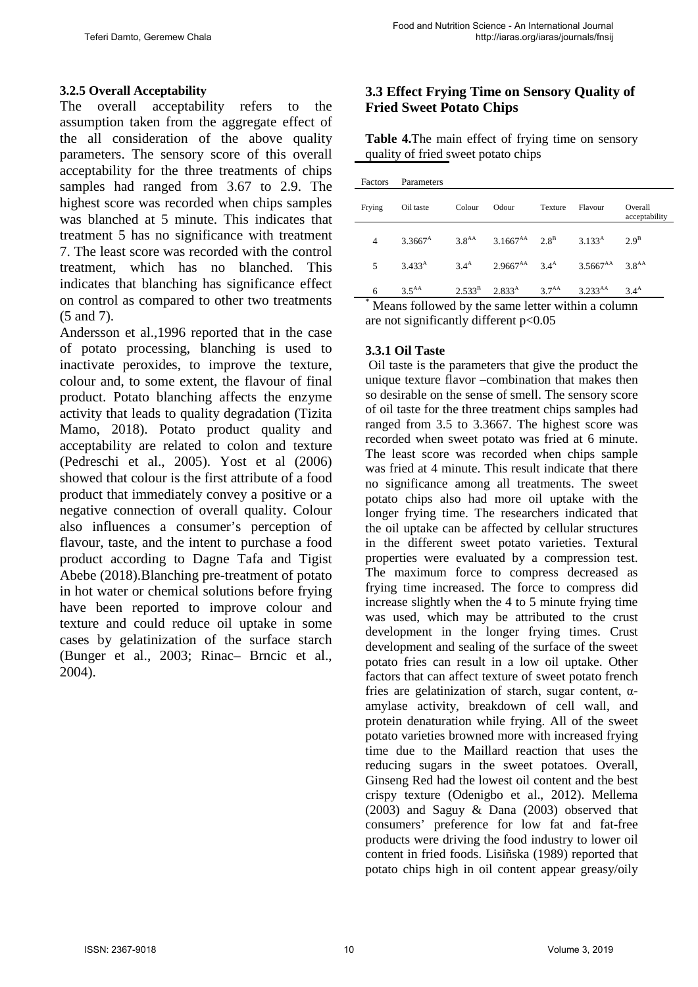### **3.2.5 Overall Acceptability**

The overall acceptability refers to the assumption taken from the aggregate effect of the all consideration of the above quality parameters. The sensory score of this overall acceptability for the three treatments of chips samples had ranged from 3.67 to 2.9. The highest score was recorded when chips samples was blanched at 5 minute. This indicates that treatment 5 has no significance with treatment 7. The least score was recorded with the control treatment, which has no blanched. This indicates that blanching has significance effect on control as compared to other two treatments (5 and 7).

Andersson et al.,1996 reported that in the case of potato processing, blanching is used to inactivate peroxides, to improve the texture, colour and, to some extent, the flavour of final product. Potato blanching affects the enzyme activity that leads to quality degradation (Tizita Mamo, 2018). Potato product quality and acceptability are related to colon and texture (Pedreschi et al., 2005). Yost et al (2006) showed that colour is the first attribute of a food product that immediately convey a positive or a negative connection of overall quality. Colour also influences a consumer's perception of flavour, taste, and the intent to purchase a food product according to Dagne Tafa and Tigist Abebe (2018).Blanching pre-treatment of potato in hot water or chemical solutions before frying have been reported to improve colour and texture and could reduce oil uptake in some cases by gelatinization of the surface starch (Bunger et al., 2003; Rinac– Brncic et al., 2004).

## **3.3 Effect Frying Time on Sensory Quality of Fried Sweet Potato Chips**

**Table 4.**The main effect of frying time on sensory quality of fried sweet potato chips

| Factors | Parameters        |                   |                                                |         |                          |                          |
|---------|-------------------|-------------------|------------------------------------------------|---------|--------------------------|--------------------------|
| Frying  | Oil taste         | Colour            | Odour                                          | Texture | Flavour                  | Overall<br>acceptability |
| 4       | $3.3667^{\rm A}$  | 3.8 <sup>AA</sup> | $3.1667^{AA}$ $2.8^B$                          |         | 3.133 <sup>A</sup>       | $2.9^{\rm B}$            |
| 5       | $3.433^{\rm A}$   | 3.4 <sup>A</sup>  | $2.9667^{AA}$ 3.4 <sup>A</sup>                 |         | $3.5667^{AA}$ $3.8^{AA}$ |                          |
| 6       | 3.5 <sup>AA</sup> |                   | $2.533^{\rm B}$ $2.833^{\rm A}$ $3.7^{\rm AA}$ |         | $3.233^{AA}$             | 3.4 <sup>A</sup>         |

Means followed by the same letter within a column are not significantly different p<0.05

## **3.3.1 Oil Taste**

Oil taste is the parameters that give the product the unique texture flavor –combination that makes then so desirable on the sense of smell. The sensory score of oil taste for the three treatment chips samples had ranged from 3.5 to 3.3667. The highest score was recorded when sweet potato was fried at 6 minute. The least score was recorded when chips sample was fried at 4 minute. This result indicate that there no significance among all treatments. The sweet potato chips also had more oil uptake with the longer frying time. The researchers indicated that the oil uptake can be affected by cellular structures in the different sweet potato varieties. Textural properties were evaluated by a compression test. The maximum force to compress decreased as frying time increased. The force to compress did increase slightly when the 4 to 5 minute frying time was used, which may be attributed to the crust development in the longer frying times. Crust development and sealing of the surface of the sweet potato fries can result in a low oil uptake. Other factors that can affect texture of sweet potato french fries are gelatinization of starch, sugar content,  $α$ amylase activity, breakdown of cell wall, and protein denaturation while frying. All of the sweet potato varieties browned more with increased frying time due to the Maillard reaction that uses the reducing sugars in the sweet potatoes. Overall, Ginseng Red had the lowest oil content and the best crispy texture (Odenigbo et al., 2012). Mellema (2003) and Saguy & Dana (2003) observed that consumers' preference for low fat and fat-free products were driving the food industry to lower oil content in fried foods. Lisiñska (1989) reported that potato chips high in oil content appear greasy/oily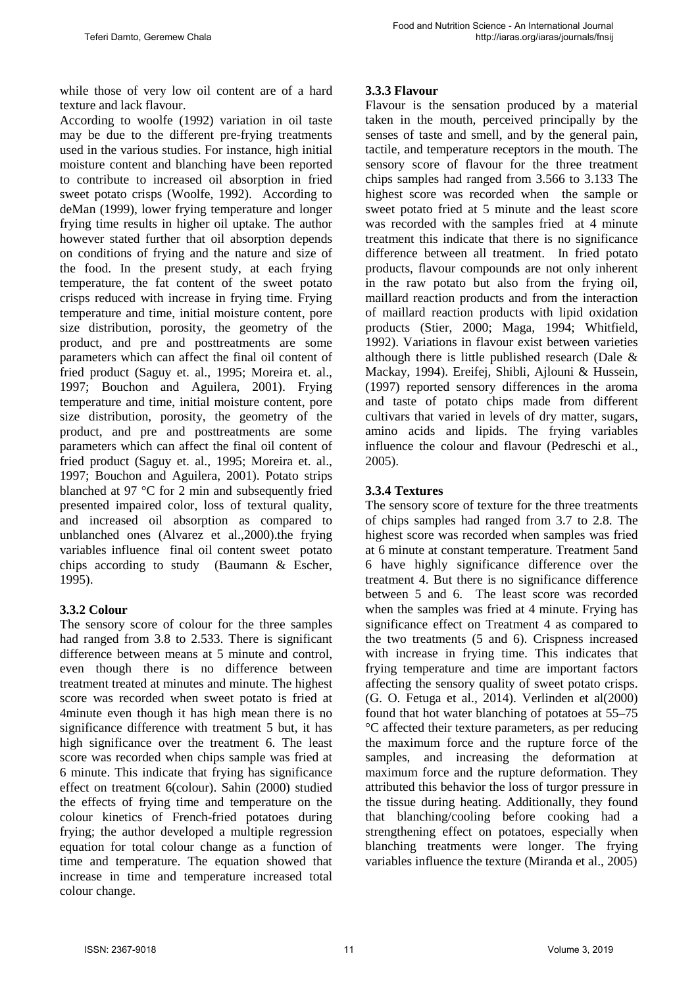while those of very low oil content are of a hard texture and lack flavour.

According to woolfe (1992) variation in oil taste may be due to the different pre-frying treatments used in the various studies. For instance, high initial moisture content and blanching have been reported to contribute to increased oil absorption in fried sweet potato crisps (Woolfe, 1992). According to deMan (1999), lower frying temperature and longer frying time results in higher oil uptake. The author however stated further that oil absorption depends on conditions of frying and the nature and size of the food. In the present study, at each frying temperature, the fat content of the sweet potato crisps reduced with increase in frying time. Frying temperature and time, initial moisture content, pore size distribution, porosity, the geometry of the product, and pre and posttreatments are some parameters which can affect the final oil content of fried product (Saguy et. al., 1995; Moreira et. al., 1997; Bouchon and Aguilera, 2001). Frying temperature and time, initial moisture content, pore size distribution, porosity, the geometry of the product, and pre and posttreatments are some parameters which can affect the final oil content of fried product (Saguy et. al., 1995; Moreira et. al., 1997; Bouchon and Aguilera, 2001). Potato strips blanched at 97 °C for 2 min and subsequently fried presented impaired color, loss of textural quality, and increased oil absorption as compared to unblanched ones (Alvarez et al.,2000).the frying variables influence final oil content sweet potato chips according to study (Baumann & Escher, 1995).

#### **3.3.2 Colour**

The sensory score of colour for the three samples had ranged from 3.8 to 2.533. There is significant difference between means at 5 minute and control, even though there is no difference between treatment treated at minutes and minute. The highest score was recorded when sweet potato is fried at 4minute even though it has high mean there is no significance difference with treatment 5 but, it has high significance over the treatment 6. The least score was recorded when chips sample was fried at 6 minute. This indicate that frying has significance effect on treatment 6(colour). Sahin (2000) studied the effects of frying time and temperature on the colour kinetics of French-fried potatoes during frying; the author developed a multiple regression equation for total colour change as a function of time and temperature. The equation showed that increase in time and temperature increased total colour change.

## **3.3.3 Flavour**

Flavour is the sensation produced by a material taken in the mouth, perceived principally by the senses of taste and smell, and by the general pain, tactile, and temperature receptors in the mouth. The sensory score of flavour for the three treatment chips samples had ranged from 3.566 to 3.133 The highest score was recorded when the sample or sweet potato fried at 5 minute and the least score was recorded with the samples fried at 4 minute treatment this indicate that there is no significance difference between all treatment. In fried potato products, flavour compounds are not only inherent in the raw potato but also from the frying oil, maillard reaction products and from the interaction of maillard reaction products with lipid oxidation products (Stier, 2000; Maga, 1994; Whitfield, 1992). Variations in flavour exist between varieties although there is little published research (Dale & Mackay, 1994). Ereifej, Shibli, Ajlouni & Hussein, (1997) reported sensory differences in the aroma and taste of potato chips made from different cultivars that varied in levels of dry matter, sugars, amino acids and lipids. The frying variables influence the colour and flavour (Pedreschi et al., 2005).

## **3.3.4 Textures**

The sensory score of texture for the three treatments of chips samples had ranged from 3.7 to 2.8. The highest score was recorded when samples was fried at 6 minute at constant temperature. Treatment 5and 6 have highly significance difference over the treatment 4. But there is no significance difference between 5 and 6. The least score was recorded when the samples was fried at 4 minute. Frying has significance effect on Treatment 4 as compared to the two treatments (5 and 6). Crispness increased with increase in frying time. This indicates that frying temperature and time are important factors affecting the sensory quality of sweet potato crisps. (G. O. Fetuga et al., 2014). Verlinden et al(2000) found that hot water blanching of potatoes at 55–75 °C affected their texture parameters, as per reducing the maximum force and the rupture force of the samples, and increasing the deformation at maximum force and the rupture deformation. They attributed this behavior the loss of turgor pressure in the tissue during heating. Additionally, they found that blanching/cooling before cooking had a strengthening effect on potatoes, especially when blanching treatments were longer. The frying variables influence the texture (Miranda et al., 2005)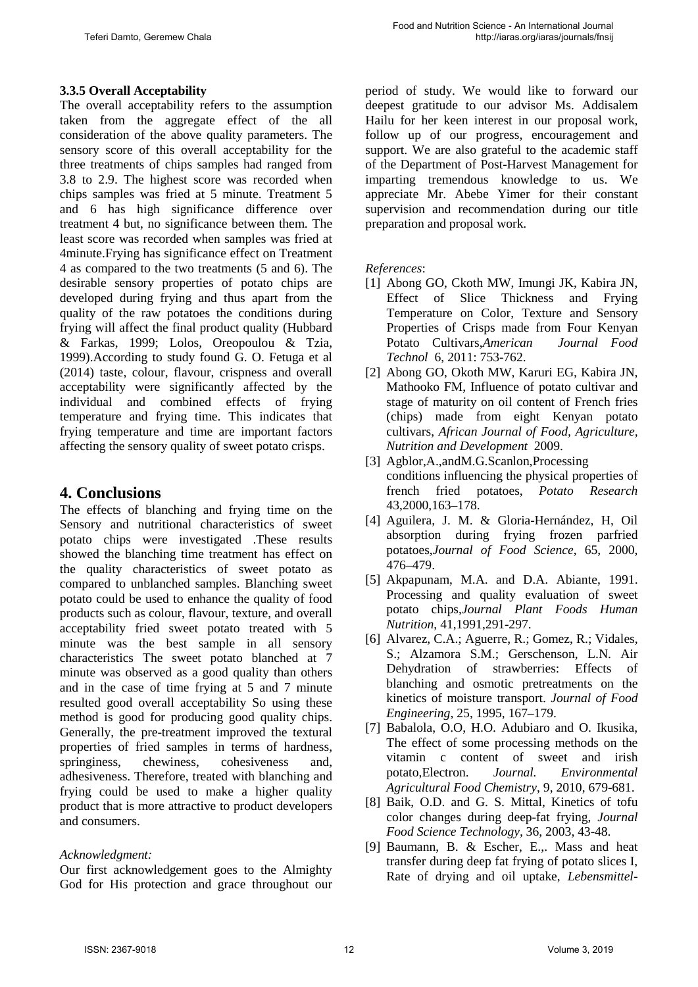## **3.3.5 Overall Acceptability**

The overall acceptability refers to the assumption taken from the aggregate effect of the all consideration of the above quality parameters. The sensory score of this overall acceptability for the three treatments of chips samples had ranged from 3.8 to 2.9. The highest score was recorded when chips samples was fried at 5 minute. Treatment 5 and 6 has high significance difference over treatment 4 but, no significance between them. The least score was recorded when samples was fried at 4minute.Frying has significance effect on Treatment 4 as compared to the two treatments (5 and 6). The desirable sensory properties of potato chips are developed during frying and thus apart from the quality of the raw potatoes the conditions during frying will affect the final product quality (Hubbard & Farkas, 1999; Lolos, Oreopoulou & Tzia, 1999).According to study found G. O. Fetuga et al (2014) taste, colour, flavour, crispness and overall acceptability were significantly affected by the individual and combined effects of frying temperature and frying time. This indicates that frying temperature and time are important factors affecting the sensory quality of sweet potato crisps.

## **4. Conclusions**

The effects of blanching and frying time on the Sensory and nutritional characteristics of sweet potato chips were investigated .These results showed the blanching time treatment has effect on the quality characteristics of sweet potato as compared to unblanched samples. Blanching sweet potato could be used to enhance the quality of food products such as colour, flavour, texture, and overall acceptability fried sweet potato treated with 5 minute was the best sample in all sensory characteristics The sweet potato blanched at 7 minute was observed as a good quality than others and in the case of time frying at 5 and 7 minute resulted good overall acceptability So using these method is good for producing good quality chips. Generally, the pre-treatment improved the textural properties of fried samples in terms of hardness, springiness, chewiness, cohesiveness and, adhesiveness. Therefore, treated with blanching and frying could be used to make a higher quality product that is more attractive to product developers and consumers.

#### *Acknowledgment:*

Our first acknowledgement goes to the Almighty God for His protection and grace throughout our period of study. We would like to forward our deepest gratitude to our advisor Ms. Addisalem Hailu for her keen interest in our proposal work, follow up of our progress, encouragement and support. We are also grateful to the academic staff of the Department of Post-Harvest Management for imparting tremendous knowledge to us. We appreciate Mr. Abebe Yimer for their constant supervision and recommendation during our title preparation and proposal work.

*References*:

- [1] Abong GO, Ckoth MW, Imungi JK, Kabira JN, Effect of Slice Thickness and Frying Temperature on Color, Texture and Sensory Properties of Crisps made from Four Kenyan Potato Cultivars,*American Journal Food Technol* 6, 2011: 753-762.
- [2] Abong GO, Okoth MW, Karuri EG, Kabira JN, Mathooko FM, Influence of potato cultivar and stage of maturity on oil content of French fries (chips) made from eight Kenyan potato cultivars, *African Journal of Food, Agriculture, Nutrition and Development* 2009.
- [3] Agblor,A.,andM.G.Scanlon,Processing conditions influencing the physical properties of french fried potatoes, *Potato Research* 43,2000,163–178.
- [4] Aguilera, J. M. & Gloria-Hernández, H, Oil absorption during frying frozen parfried potatoes,*Journal of Food Science*, 65, 2000, 476–479.
- [5] Akpapunam, M.A. and D.A. Abiante, 1991. Processing and quality evaluation of sweet potato chips,*Journal Plant Foods Human Nutrition*, 41,1991,291-297.
- [6] Alvarez, C.A.; Aguerre, R.; Gomez, R.; Vidales, S.; Alzamora S.M.; Gerschenson, L.N. Air Dehydration of strawberries: Effects of blanching and osmotic pretreatments on the kinetics of moisture transport. *Journal of Food Engineering*, 25, 1995, 167–179.
- [7] Babalola, O.O, H.O. Adubiaro and O. Ikusika, The effect of some processing methods on the vitamin c content of sweet and irish potato,Electron. *Journal. Environmental Agricultural Food Chemistry*, 9, 2010, 679-681.
- [8] Baik, O.D. and G. S. Mittal, Kinetics of tofu color changes during deep-fat frying, *Journal Food Science Technology,* 36, 2003, 43-48.
- [9] Baumann, B. & Escher, E.,. Mass and heat transfer during deep fat frying of potato slices I, Rate of drying and oil uptake, *Lebensmittel-*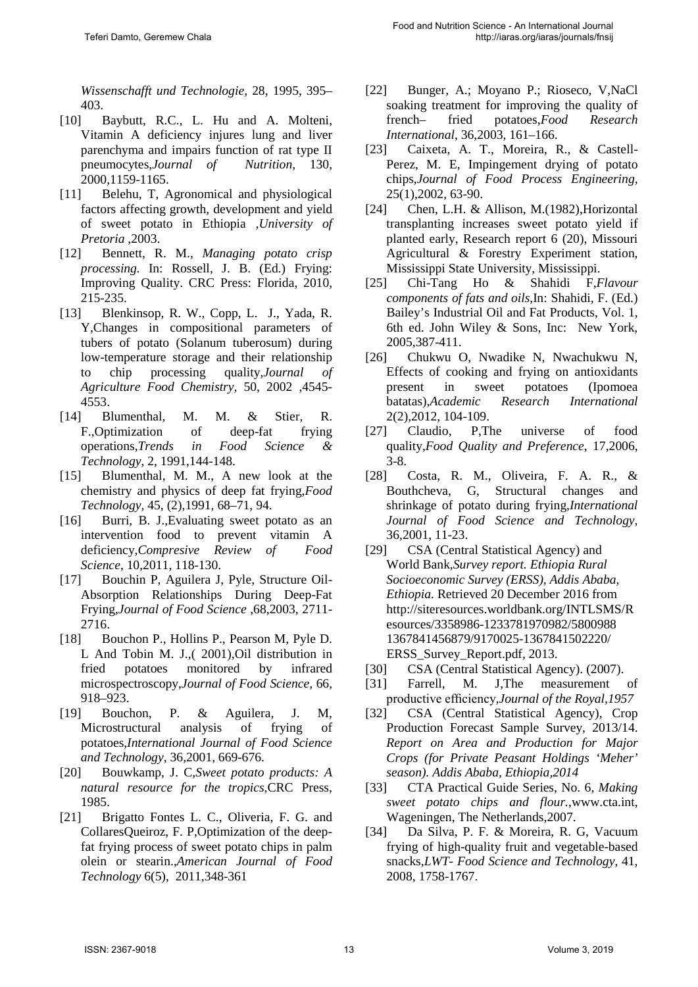*Wissenschafft und Technologie,* 28, 1995, 395– 403.

- [10] Baybutt, R.C., L. Hu and A. Molteni, Vitamin A deficiency injures lung and liver parenchyma and impairs function of rat type II pneumocytes,*Journal of Nutrition,* 130, 2000,1159-1165.
- [11] Belehu, T, Agronomical and physiological factors affecting growth, development and yield of sweet potato in Ethiopia *,University of Pretoria* ,2003.
- [12] Bennett, R. M., *Managing potato crisp processing.* In: Rossell, J. B. (Ed.) Frying: Improving Quality. CRC Press: Florida, 2010, 215-235.
- [13] Blenkinsop, R. W., Copp, L. J., Yada, R. Y,Changes in compositional parameters of tubers of potato (Solanum tuberosum) during low-temperature storage and their relationship to chip processing quality,*Journal of Agriculture Food Chemistry,* 50, 2002 ,4545- 4553.
- [14] Blumenthal, M. M. & Stier, R. F.,Optimization of deep-fat frying operations,*Trends in Food Science & Technology*, 2, 1991,144-148.
- [15] Blumenthal, M. M., A new look at the chemistry and physics of deep fat frying,*Food Technology,* 45, (2),1991, 68–71, 94.
- [16] Burri, B. J.,Evaluating sweet potato as an intervention food to prevent vitamin A deficiency,*Compresive Review of Food Science*, 10,2011, 118-130.
- [17] Bouchin P, Aguilera J, Pyle, Structure Oil-Absorption Relationships During Deep-Fat Frying,*Journal of Food Science* ,68,2003, 2711- 2716.
- [18] Bouchon P., Hollins P., Pearson M, Pyle D. L And Tobin M. J.,( 2001),Oil distribution in fried potatoes monitored by infrared microspectroscopy,*Journal of Food Science*, 66, 918–923.
- [19] Bouchon, P. & Aguilera, J. M, Microstructural analysis of frying of potatoes,*International Journal of Food Science and Technology*, 36,2001, 669-676.
- [20] Bouwkamp, J. C,*Sweet potato products: A natural resource for the tropics*,CRC Press, 1985.
- [21] Brigatto Fontes L. C., Oliveria, F. G. and CollaresQueiroz, F. P,Optimization of the deepfat frying process of sweet potato chips in palm olein or stearin.,*American Journal of Food Technology* 6(5), 2011,348-361
- [22] Bunger, A.; Moyano P.; Rioseco, V,NaCl soaking treatment for improving the quality of french– fried potatoes,*Food Research International*, 36,2003, 161–166.
- [23] Caixeta, A. T., Moreira, R., & Castell-Perez, M. E, Impingement drying of potato chips*,Journal of Food Process Engineering,*  25(1),2002, 63-90.
- [24] Chen, L.H. & Allison, M.(1982),Horizontal transplanting increases sweet potato yield if planted early, Research report 6 (20), Missouri Agricultural & Forestry Experiment station, Mississippi State University, Mississippi.
- [25] Chi-Tang Ho & Shahidi F,*Flavour components of fats and oils*,In: Shahidi, F. (Ed.) Bailey's Industrial Oil and Fat Products, Vol. 1, 6th ed. John Wiley & Sons, Inc: New York, 2005,387-411.
- [26] Chukwu O, Nwadike N, Nwachukwu N, Effects of cooking and frying on antioxidants present in sweet potatoes (Ipomoea batatas),*Academic Research International* 2(2),2012, 104-109.
- [27] Claudio, P,The universe of food quality,*Food Quality and Preference*, 17,2006, 3-8.
- [28] Costa, R. M., Oliveira, F. A. R., & Bouthcheva, G, Structural changes and shrinkage of potato during frying,*International Journal of Food Science and Technology*, 36,2001, 11-23.
- [29] CSA (Central Statistical Agency) and World Bank,*Survey report. Ethiopia Rural Socioeconomic Survey (ERSS), Addis Ababa, Ethiopia.* Retrieved 20 December 2016 from [http://siteresources.worldbank.org/INTLSMS/R](http://siteresources.worldbank.org/INTLSMS/Resources/3358986-1233781970982/5800988) [esources/3358986-1233781970982/5800988](http://siteresources.worldbank.org/INTLSMS/Resources/3358986-1233781970982/5800988) 1367841456879/9170025-1367841502220/ ERSS\_Survey\_Report.pdf, 2013.
- [30] CSA (Central Statistical Agency). (2007).
- [31] Farrell, M. J,The measurement of productive efficiency,*Journal of the Royal,1957*
- [32] CSA (Central Statistical Agency), Crop Production Forecast Sample Survey, 2013/14. *Report on Area and Production for Major Crops (for Private Peasant Holdings 'Meher' season). Addis Ababa, Ethiopia,2014*
- [33] CTA Practical Guide Series, No. 6, *Making sweet potato chips and flour.*,www.cta.int, Wageningen, The Netherlands,2007.
- [34] Da Silva, P. F. & Moreira, R. G, Vacuum frying of high-quality fruit and vegetable-based snacks,*LWT- Food Science and Technology*, 41, 2008, 1758-1767.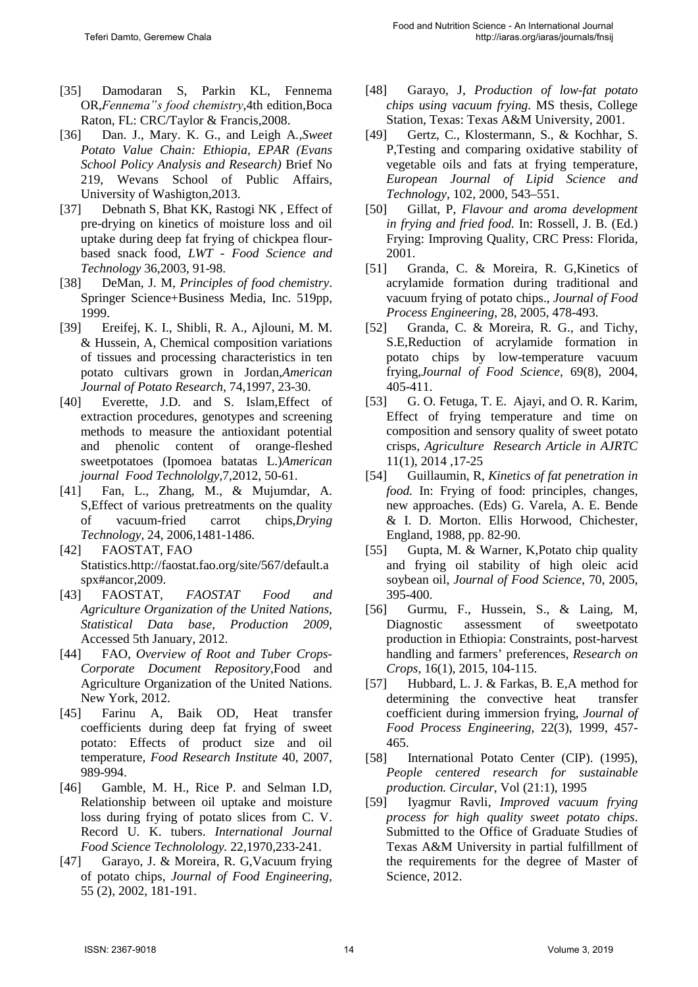- [35] Damodaran S, Parkin KL, Fennema OR,*Fennema"s food chemistry*,4th edition,Boca Raton, FL: CRC/Taylor & Francis,2008.
- [36] Dan. J., Mary. K. G., and Leigh A*.,Sweet Potato Value Chain: Ethiopia, EPAR (Evans School Policy Analysis and Research)* Brief No 219, Wevans School of Public Affairs, University of Washigton,2013.
- [37] Debnath S, Bhat KK, Rastogi NK, Effect of pre-drying on kinetics of moisture loss and oil uptake during deep fat frying of chickpea flourbased snack food, *LWT - Food Science and Technology* 36,2003, 91-98.
- [38] DeMan, J. M*, Principles of food chemistry*. Springer Science+Business Media, Inc. 519pp, 1999.
- [39] Ereifej, K. I., Shibli, R. A., Ajlouni, M. M. & Hussein, A, Chemical composition variations of tissues and processing characteristics in ten potato cultivars grown in Jordan,*American Journal of Potato Research,* 74,1997, 23-30.
- [40] Everette, J.D. and S. Islam, Effect of extraction procedures, genotypes and screening methods to measure the antioxidant potential and phenolic content of orange-fleshed sweetpotatoes (Ipomoea batatas L.)*American journal Food Technololgy,*7,2012, 50-61.
- [41] Fan, L., Zhang, M., & Mujumdar, A. S,Effect of various pretreatments on the quality of vacuum-fried carrot chips,*Drying Technology*, 24, 2006,1481-1486.
- [42] FAOSTAT, FAO Statistics.http://faostat.fao.org/site/567/default.a spx#ancor,2009.
- [43] FAOSTAT, *FAOSTAT Food and Agriculture Organization of the United Nations, Statistical Data base, Production 2009*, Accessed 5th January, 2012.
- [44] FAO, *Overview of Root and Tuber Crops-Corporate Document Repository*,Food and Agriculture Organization of the United Nations. New York, 2012.
- [45] Farinu A, Baik OD, Heat transfer coefficients during deep fat frying of sweet potato: Effects of product size and oil temperature*, Food Research Institute* 40, 2007, 989-994.
- [46] Gamble, M. H., Rice P. and Selman I.D, Relationship between oil uptake and moisture loss during frying of potato slices from C. V. Record U. K. tubers. *International Journal Food Science Technolology.* 22,1970,233-241.
- [47] Garayo, J. & Moreira, R. G,Vacuum frying of potato chips, *Journal of Food Engineering*, 55 (2), 2002, 181-191.
- [48] Garayo, J, *Production of low-fat potato chips using vacuum frying*. MS thesis, College Station, Texas: Texas A&M University, 2001.
- [49] Gertz, C., Klostermann, S., & Kochhar, S. P,Testing and comparing oxidative stability of vegetable oils and fats at frying temperature, *European Journal of Lipid Science and Technology,* 102, 2000, 543–551.
- [50] Gillat, P, *Flavour and aroma development in frying and fried food.* In: Rossell, J. B. (Ed.) Frying: Improving Quality, CRC Press: Florida, 2001.
- [51] Granda, C. & Moreira, R. G,Kinetics of acrylamide formation during traditional and vacuum frying of potato chips., *Journal of Food Process Engineering*, 28, 2005, 478-493.
- [52] Granda, C. & Moreira, R. G., and Tichy, S.E,Reduction of acrylamide formation in potato chips by low-temperature vacuum frying,*Journal of Food Science,* 69(8), 2004, 405-411.
- [53] G. O. Fetuga, T. E. Ajayi, and O. R. Karim, Effect of frying temperature and time on composition and sensory quality of sweet potato crisps, *Agriculture Research Article in AJRTC* 11(1), 2014 ,17-25
- [54] Guillaumin, R, *Kinetics of fat penetration in food.* In: Frying of food: principles, changes, new approaches. (Eds) G. Varela, A. E. Bende & I. D. Morton. Ellis Horwood, Chichester, England, 1988, pp. 82-90.
- [55] Gupta, M. & Warner, K,Potato chip quality and frying oil stability of high oleic acid soybean oil, *Journal of Food Science*, 70, 2005, 395-400.
- [56] Gurmu, F., Hussein, S., & Laing, M, Diagnostic assessment of sweetpotato production in Ethiopia: Constraints, post-harvest handling and farmers' preferences, *Research on Crops*, 16(1), 2015, 104-115.
- [57] Hubbard, L. J. & Farkas, B. E,A method for determining the convective heat transfer coefficient during immersion frying, *Journal of Food Process Engineering*, 22(3), 1999, 457- 465.
- [58] International Potato Center (CIP). (1995), *People centered research for sustainable production. Circular*, Vol (21:1), 1995
- [59] Iyagmur Ravli, *Improved vacuum frying process for high quality sweet potato chips*. Submitted to the Office of Graduate Studies of Texas A&M University in partial fulfillment of the requirements for the degree of Master of Science, 2012.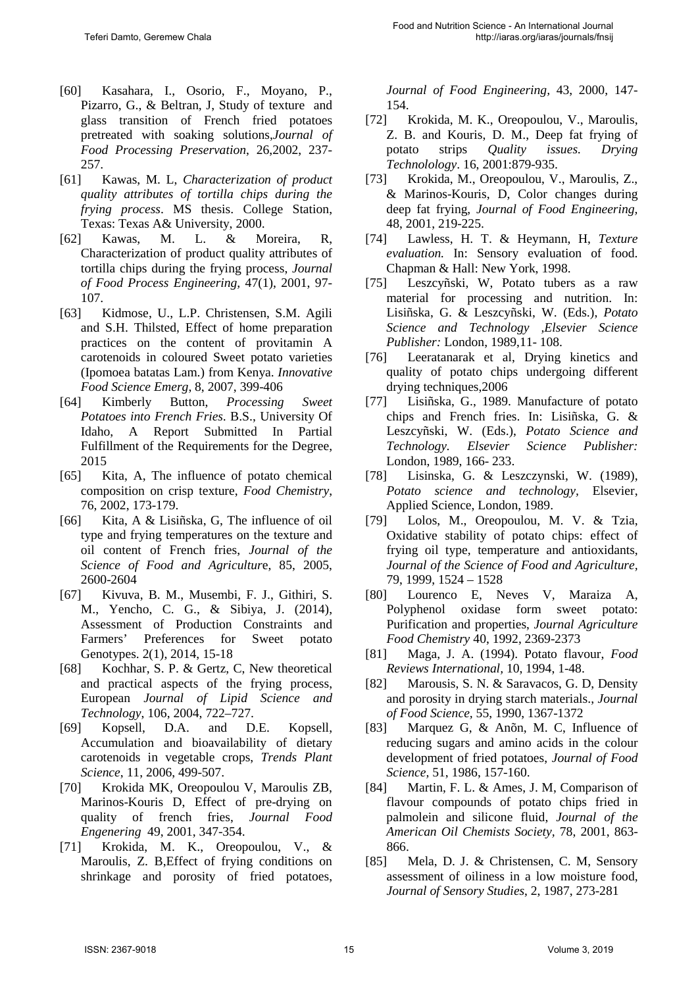- [60] Kasahara, I., Osorio, F., Moyano, P., Pizarro, G., & Beltran, J, Study of texture and glass transition of French fried potatoes pretreated with soaking solutions,*Journal of Food Processing Preservation*, 26,2002, 237- 257.
- [61] Kawas, M. L, *Characterization of product quality attributes of tortilla chips during the frying process*. MS thesis. College Station, Texas: Texas A& University, 2000.
- [62] Kawas, M. L. & Moreira, R, Characterization of product quality attributes of tortilla chips during the frying process, *Journal of Food Process Engineering,* 47(1), 2001, 97- 107.
- [63] Kidmose, U., L.P. Christensen, S.M. Agili and S.H. Thilsted, Effect of home preparation practices on the content of provitamin A carotenoids in coloured Sweet potato varieties (Ipomoea batatas Lam.) from Kenya. *Innovative Food Science Emerg*, 8, 2007, 399-406
- [64] Kimberly Button, *Processing Sweet Potatoes into French Fries*. B.S., University Of Idaho, A Report Submitted In Partial Fulfillment of the Requirements for the Degree, 2015
- [65] Kita, A, The influence of potato chemical composition on crisp texture, *Food Chemistry*, 76, 2002, 173-179.
- [66] Kita, A & Lisiñska, G, The influence of oil type and frying temperatures on the texture and oil content of French fries, *Journal of the Science of Food and Agricultur*e, 85, 2005, 2600-2604
- [67] Kivuva, B. M., Musembi, F. J., Githiri, S. M., Yencho, C. G., & Sibiya, J. (2014), Assessment of Production Constraints and Farmers' Preferences for Sweet potato Genotypes. 2(1), 2014, 15-18
- [68] Kochhar, S. P. & Gertz, C, New theoretical and practical aspects of the frying process, European *Journal of Lipid Science and Technology*, 106, 2004, 722–727.
- [69] Kopsell, D.A. and D.E. Kopsell, Accumulation and bioavailability of dietary carotenoids in vegetable crops, *Trends Plant Science*, 11, 2006, 499-507.
- [70] Krokida MK, Oreopoulou V, Maroulis ZB, Marinos-Kouris D, Effect of pre-drying on quality of french fries, *Journal Food Engenering* 49, 2001, 347-354.
- [71] Krokida, M. K., Oreopoulou, V., & Maroulis, Z. B,Effect of frying conditions on shrinkage and porosity of fried potatoes,

*Journal of Food Engineering,* 43, 2000, 147- 154.

- [72] Krokida, M. K., Oreopoulou, V., Maroulis, Z. B. and Kouris, D. M., Deep fat frying of potato strips *Quality issues. Drying Technolology*. 16, 2001:879-935.
- [73] Krokida, M., Oreopoulou, V., Maroulis, Z., & Marinos-Kouris, D, Color changes during deep fat frying, *Journal of Food Engineering,* 48, 2001, 219-225.
- [74] Lawless, H. T. & Heymann, H, *Texture evaluation.* In: Sensory evaluation of food. Chapman & Hall: New York, 1998.
- [75] Leszcyñski, W, Potato tubers as a raw material for processing and nutrition. In: Lisiñska, G. & Leszcyñski, W. (Eds.), *Potato Science and Technology ,Elsevier Science Publisher:* London, 1989,11- 108.
- [76] Leeratanarak et al, Drying kinetics and quality of potato chips undergoing different drying techniques,2006
- [77] Lisiñska, G., 1989. Manufacture of potato chips and French fries. In: Lisiñska, G. & Leszcyñski, W. (Eds.), *Potato Science and Technology. Elsevier Science Publisher:*  London, 1989, 166- 233.
- [78] Lisinska, G. & Leszczynski, W. (1989), *Potato science and technology,* Elsevier, Applied Science, London, 1989.
- [79] Lolos, M., Oreopoulou, M. V. & Tzia, Oxidative stability of potato chips: effect of frying oil type, temperature and antioxidants, *Journal of the Science of Food and Agriculture,* 79, 1999, 1524 – 1528
- [80] Lourenco E, Neves V, Maraiza A, Polyphenol oxidase form sweet potato: Purification and properties, *Journal Agriculture Food Chemistry* 40, 1992, 2369-2373
- [81] Maga, J. A. (1994). Potato flavour, *Food Reviews International,* 10, 1994, 1-48.
- [82] Marousis, S. N. & Saravacos, G. D, Density and porosity in drying starch materials., *Journal of Food Science,* 55, 1990, 1367-1372
- [83] Marquez G, & Anõn, M. C, Influence of reducing sugars and amino acids in the colour development of fried potatoes, *Journal of Food Science,* 51, 1986, 157-160.
- [84] Martin, F. L. & Ames, J. M, Comparison of flavour compounds of potato chips fried in palmolein and silicone fluid, *Journal of the American Oil Chemists Society,* 78, 2001, 863- 866.
- [85] Mela, D. J. & Christensen, C. M, Sensory assessment of oiliness in a low moisture food, *Journal of Sensory Studies*, 2, 1987, 273-281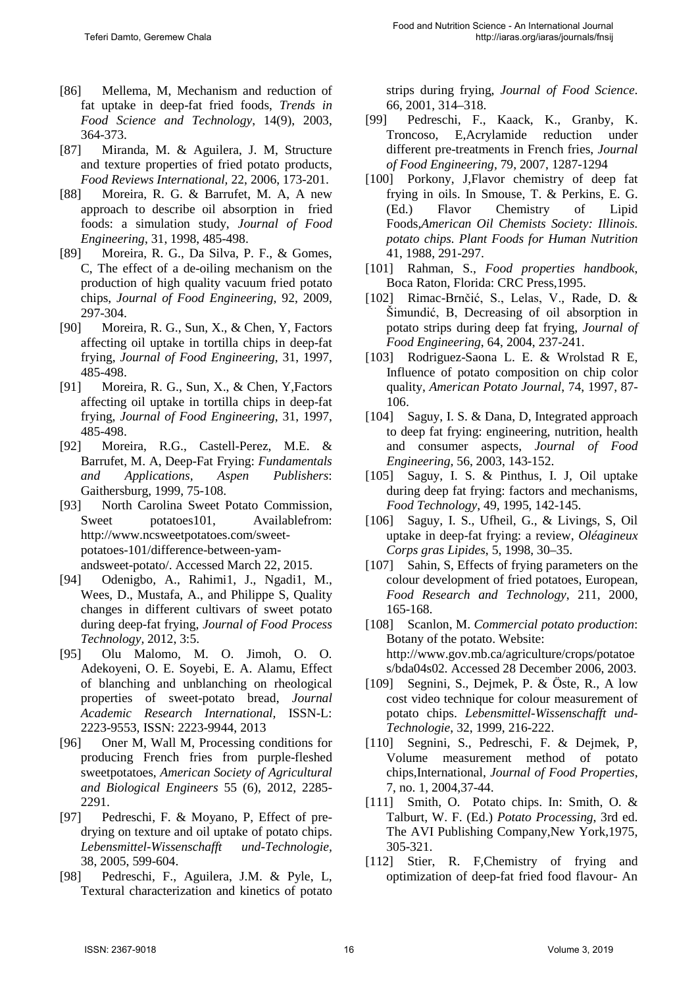- [86] Mellema, M, Mechanism and reduction of fat uptake in deep-fat fried foods, *Trends in Food Science and Technology*, 14(9), 2003, 364-373.
- [87] Miranda, M. & Aguilera, J. M, Structure and texture properties of fried potato products, *Food Reviews International,* 22, 2006, 173-201.
- [88] Moreira, R. G. & Barrufet, M. A, A new approach to describe oil absorption in fried foods: a simulation study, *Journal of Food Engineering*, 31, 1998, 485-498.
- [89] Moreira, R. G., Da Silva, P. F., & Gomes, C, The effect of a de-oiling mechanism on the production of high quality vacuum fried potato chips, *Journal of Food Engineering*, 92, 2009, 297-304.
- [90] Moreira, R. G., Sun, X., & Chen, Y, Factors affecting oil uptake in tortilla chips in deep-fat frying, *Journal of Food Engineering*, 31, 1997, 485-498.
- [91] Moreira, R. G., Sun, X., & Chen, Y,Factors affecting oil uptake in tortilla chips in deep-fat frying, *Journal of Food Engineering*, 31, 1997, 485-498.
- [92] Moreira, R.G., Castell-Perez, M.E. & Barrufet, M. A, Deep-Fat Frying: *Fundamentals and Applications, Aspen Publishers*: Gaithersburg, 1999, 75-108.
- [93] North Carolina Sweet Potato Commission, Sweet potatoes101, Availablefrom: http://www.ncsweetpotatoes.com/sweetpotatoes-101/difference-between-yamandsweet-potato/. Accessed March 22, 2015.
- [94] Odenigbo, A., Rahimi1, J., Ngadi1, M., Wees, D., Mustafa, A., and Philippe S, Quality changes in different cultivars of sweet potato during deep-fat frying, *Journal of Food Process Technology,* 2012, 3:5.
- [95] Olu Malomo, M. O. Jimoh, O. O. Adekoyeni, O. E. Soyebi, E. A. Alamu, Effect of blanching and unblanching on rheological properties of sweet-potato bread, *Journal Academic Research International,* ISSN-L: 2223-9553, ISSN: 2223-9944, 2013
- [96] Oner M, Wall M, Processing conditions for producing French fries from purple-fleshed sweetpotatoes, *American Society of Agricultural and Biological Engineers* 55 (6), 2012, 2285- 2291.
- [97] Pedreschi, F. & Moyano, P, Effect of predrying on texture and oil uptake of potato chips. *Lebensmittel-Wissenschafft und-Technologie,*  38, 2005, 599-604.
- [98] Pedreschi, F., Aguilera, J.M. & Pyle, L, Textural characterization and kinetics of potato

strips during frying, *Journal of Food Science*. 66, 2001, 314–318.

- [99] Pedreschi, F., Kaack, K., Granby, K. Troncoso, E,Acrylamide reduction under different pre-treatments in French fries, *Journal of Food Engineering,* 79, 2007, 1287-1294
- [100] Porkony, J, Flavor chemistry of deep fat frying in oils. In Smouse, T. & Perkins, E. G. (Ed.) Flavor Chemistry of Lipid Foods,*American Oil Chemists Society: Illinois. potato chips. Plant Foods for Human Nutrition* 41, 1988, 291-297.
- [101] Rahman, S., *Food properties handbook*, Boca Raton, Florida: CRC Press,1995.
- [102] Rimac-Brnčić, S., Lelas, V., Rade, D. & Šimundić, B, Decreasing of oil absorption in potato strips during deep fat frying, *Journal of Food Engineering*, 64, 2004, 237-241.
- [103] Rodriguez-Saona L. E. & Wrolstad R E, Influence of potato composition on chip color quality, *American Potato Journal*, 74, 1997, 87- 106.
- [104] Saguy, I. S. & Dana, D, Integrated approach to deep fat frying: engineering, nutrition, health and consumer aspects, *Journal of Food Engineering,* 56, 2003, 143-152.
- [105] Saguy, I. S. & Pinthus, I. J, Oil uptake during deep fat frying: factors and mechanisms, *Food Technology*, 49, 1995, 142-145.
- [106] Saguy, I. S., Ufheil, G., & Livings, S, Oil uptake in deep-fat frying: a review, *Oléagineux Corps gras Lipides*, 5, 1998, 30–35.
- [107] Sahin, S, Effects of frying parameters on the colour development of fried potatoes, European, *Food Research and Technology*, 211, 2000, 165-168.
- [108] Scanlon, M. *Commercial potato production*: Botany of the potato. Website: http://www.gov.mb.ca/agriculture/crops/potatoe s/bda04s02. Accessed 28 December 2006, 2003.
- [109] Segnini, S., Dejmek, P. & Öste, R., A low cost video technique for colour measurement of potato chips. *Lebensmittel-Wissenschafft und-Technologie*, 32, 1999, 216-222.
- [110] Segnini, S., Pedreschi, F. & Dejmek, P, Volume measurement method of potato chips,International, *Journal of Food Properties*, 7, no. 1, 2004,37-44.
- [111] Smith, O. Potato chips. In: Smith, O. & Talburt, W. F. (Ed.) *Potato Processing*, 3rd ed. The AVI Publishing Company,New York,1975, 305-321.
- [112] Stier, R. F, Chemistry of frying and optimization of deep-fat fried food flavour- An